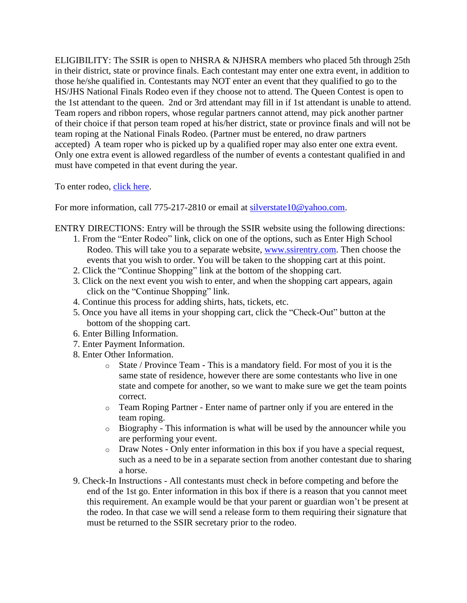ELIGIBILITY: The SSIR is open to NHSRA & NJHSRA members who placed 5th through 25th in their district, state or province finals. Each contestant may enter one extra event, in addition to those he/she qualified in. Contestants may NOT enter an event that they qualified to go to the HS/JHS National Finals Rodeo even if they choose not to attend. The Queen Contest is open to the 1st attendant to the queen. 2nd or 3rd attendant may fill in if 1st attendant is unable to attend. Team ropers and ribbon ropers, whose regular partners cannot attend, may pick another partner of their choice if that person team roped at his/her district, state or province finals and will not be team roping at the National Finals Rodeo. (Partner must be entered, no draw partners accepted) A team roper who is picked up by a qualified roper may also enter one extra event. Only one extra event is allowed regardless of the number of events a contestant qualified in and must have competed in that event during the year.

To enter rodeo, [click](https://jdebraga.wixsite.com/ssir/copy-of-enter-rodeo-1) here.

For more information, call 775-217-2810 or email at [silverstate10@yahoo.com.](mailto:silverstate10@yahoo.com)

ENTRY DIRECTIONS: Entry will be through the SSIR website using the following directions:

- 1. From the "Enter Rodeo" link, click on one of the options, such as Enter High School Rodeo. This will take you to a separate website, [www.ssirentry.com.](http://www.ssirentry.com/) Then choose the events that you wish to order. You will be taken to the shopping cart at this point.
- 2. Click the "Continue Shopping" link at the bottom of the shopping cart.
- 3. Click on the next event you wish to enter, and when the shopping cart appears, again click on the "Continue Shopping" link.
- 4. Continue this process for adding shirts, hats, tickets, etc.
- 5. Once you have all items in your shopping cart, click the "Check-Out" button at the bottom of the shopping cart.
- 6. Enter Billing Information.
- 7. Enter Payment Information.
- 8. Enter Other Information.
	- o State / Province Team This is a mandatory field. For most of you it is the same state of residence, however there are some contestants who live in one state and compete for another, so we want to make sure we get the team points correct.
	- o Team Roping Partner Enter name of partner only if you are entered in the team roping.
	- o Biography This information is what will be used by the announcer while you are performing your event.
	- o Draw Notes Only enter information in this box if you have a special request, such as a need to be in a separate section from another contestant due to sharing a horse.
- 9. Check-In Instructions All contestants must check in before competing and before the end of the 1st go. Enter information in this box if there is a reason that you cannot meet this requirement. An example would be that your parent or guardian won't be present at the rodeo. In that case we will send a release form to them requiring their signature that must be returned to the SSIR secretary prior to the rodeo.